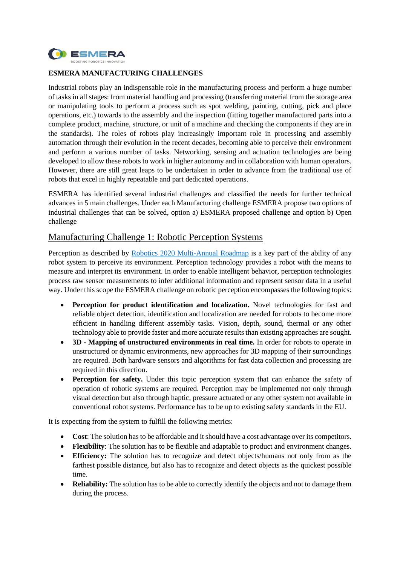

#### **ESMERA MANUFACTURING CHALLENGES**

Industrial robots play an indispensable role in the manufacturing process and perform a huge number of tasks in all stages: from material handling and processing (transferring material from the storage area or manipulating tools to perform a process such as spot welding, painting, cutting, pick and place operations, etc.) towards to the assembly and the inspection (fitting together manufactured parts into a complete product, machine, structure, or unit of a machine and checking the components if they are in the standards). The roles of robots play increasingly important role in processing and assembly automation through their evolution in the recent decades, becoming able to perceive their environment and perform a various number of tasks. Networking, sensing and actuation technologies are being developed to allow these robots to work in higher autonomy and in collaboration with human operators. However, there are still great leaps to be undertaken in order to advance from the traditional use of robots that excel in highly repeatable and part dedicated operations.

ESMERA has identified several industrial challenges and classified the needs for further technical advances in 5 main challenges. Under each Manufacturing challenge ESMERA propose two options of industrial challenges that can be solved, option a) ESMERA proposed challenge and option b) Open challenge

## Manufacturing Challenge 1: Robotic Perception Systems

Perception as described by [Robotics 2020 Multi-Annual Roadmap](https://www.eu-robotics.net/cms/upload/topic_groups/H2020_Robotics_Multi-Annual_Roadmap_ICT-2017B.pdf) is a key part of the ability of any robot system to perceive its environment. Perception technology provides a robot with the means to measure and interpret its environment. In order to enable intelligent behavior, perception technologies process raw sensor measurements to infer additional information and represent sensor data in a useful way. Under this scope the ESMERA challenge on robotic perception encompasses the following topics:

- **Perception for product identification and localization.** Novel technologies for fast and reliable object detection, identification and localization are needed for robots to become more efficient in handling different assembly tasks. Vision, depth, sound, thermal or any other technology able to provide faster and more accurate results than existing approaches are sought.
- **3D - Mapping of unstructured environments in real time.** In order for robots to operate in unstructured or dynamic environments, new approaches for 3D mapping of their surroundings are required. Both hardware sensors and algorithms for fast data collection and processing are required in this direction.
- **Perception for safety.** Under this topic perception system that can enhance the safety of operation of robotic systems are required. Perception may be implemented not only through visual detection but also through haptic, pressure actuated or any other system not available in conventional robot systems. Performance has to be up to existing safety standards in the EU.

It is expecting from the system to fulfill the following metrics:

- **Cost:** The solution has to be affordable and it should have a cost advantage over its competitors.
- **Flexibility**: The solution has to be flexible and adaptable to product and environment changes.
- **Efficiency:** The solution has to recognize and detect objects/humans not only from as the farthest possible distance, but also has to recognize and detect objects as the quickest possible time.
- **Reliability:** The solution has to be able to correctly identify the objects and not to damage them during the process.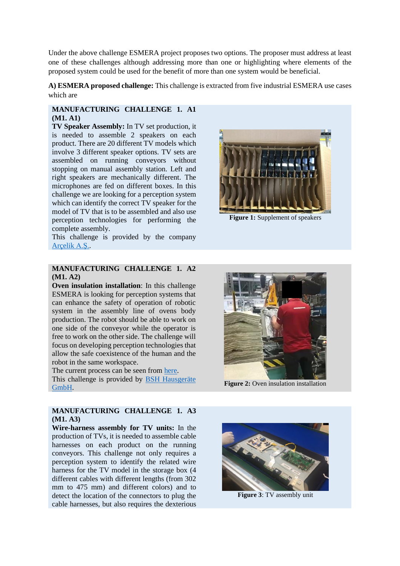Under the above challenge ESMERA project proposes two options. The proposer must address at least one of these challenges although addressing more than one or highlighting where elements of the proposed system could be used for the benefit of more than one system would be beneficial.

**A) ESMERA proposed challenge:** This challenge is extracted from five industrial ESMERA use cases which are

#### **MANUFACTURING CHALLENGE 1. A1 (M1. A1)**

**TV Speaker Assembly:** In TV set production, it is needed to assemble 2 speakers on each product. There are 20 different TV models which involve 3 different speaker options. TV sets are assembled on running conveyors without stopping on manual assembly station. Left and right speakers are mechanically different. The microphones are fed on different boxes. In this challenge we are looking for a perception system which can identify the correct TV speaker for the model of TV that is to be assembled and also use perception technologies for performing the complete assembly.

This challenge is provided by the company [Arçelik](http://www.arcelikas.com/) A.Ş..

#### **MANUFACTURING CHALLENGE 1. A2 (M1. A2)**

**Oven insulation installation:** In this challenge ESMERA is looking for perception systems that can enhance the safety of operation of robotic system in the assembly line of ovens body production. The robot should be able to work on one side of the conveyor while the operator is free to work on the other side. The challenge will focus on developing perception technologies that allow the safe coexistence of the human and the robot in the same workspace.

The current process can be seen from [here.](https://youtu.be/Y4jlTww5vAM) This challenge is provided by [BSH Hausgeräte](https://www.bsh-group.com.tr/)  [GmbH.](https://www.bsh-group.com.tr/)

#### **MANUFACTURING CHALLENGE 1. A3 (M1. A3)**

**Wire-harness assembly for TV units:** In the production of TVs, it is needed to assemble cable harnesses on each product on the running conveyors. This challenge not only requires a perception system to identify the related wire harness for the TV model in the storage box (4 different cables with different lengths (from 302 mm to 475 mm) and different colors) and to detect the location of the connectors to plug the cable harnesses, but also requires the dexterious



**Figure 2:** Oven insulation installation



**Figure 3**: TV assembly unit



**Figure 1:** Supplement of speakers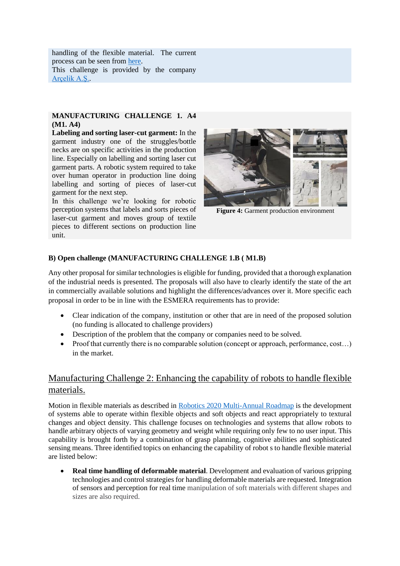handling of the flexible material. The current process can be seen from [here.](https://youtu.be/gOOi9HXrndk) This challenge is provided by the company [Arçelik A.Ş..](http://www.arcelikas.com/)

#### **MANUFACTURING CHALLENGE 1. A4 (M1. A4)**

**Labeling and sorting laser-cut garment:** In the garment industry one of the struggles/bottle necks are on specific activities in the production line. Especially on labelling and sorting laser cut garment parts. A robotic system required to take over human operator in production line doing labelling and sorting of pieces of laser-cut garment for the next step.

In this challenge we're looking for robotic perception systems that labels and sorts pieces of laser-cut garment and moves group of textile pieces to different sections on production line unit.



**Figure 4:** Garment production environment

## **B) Open challenge (MANUFACTURING CHALLENGE 1.B ( M1.B)**

Any other proposal for similar technologies is eligible for funding, provided that a thorough explanation of the industrial needs is presented. The proposals will also have to clearly identify the state of the art in commercially available solutions and highlight the differences/advances over it. More specific each proposal in order to be in line with the ESMERA requirements has to provide:

- Clear indication of the company, institution or other that are in need of the proposed solution (no funding is allocated to challenge providers)
- Description of the problem that the company or companies need to be solved.
- Proof that currently there is no comparable solution (concept or approach, performance, cost...) in the market.

# Manufacturing Challenge 2: Enhancing the capability of robots to handle flexible materials.

Motion in flexible materials as described in [Robotics 2020 Multi-Annual Roadmap](https://www.eu-robotics.net/cms/upload/topic_groups/H2020_Robotics_Multi-Annual_Roadmap_ICT-2017B.pdf) is the development of systems able to operate within flexible objects and soft objects and react appropriately to textural changes and object density. This challenge focuses on technologies and systems that allow robots to handle arbitrary objects of varying geometry and weight while requiring only few to no user input. This capability is brought forth by a combination of grasp planning, cognitive abilities and sophisticated sensing means. Three identified topics on enhancing the capability of robot s to handle flexible material are listed below:

• **Real time handling of deformable material**. Development and evaluation of various gripping technologies and control strategies for handling deformable materials are requested. Integration of sensors and perception for real time manipulation of soft materials with different shapes and sizes are also required.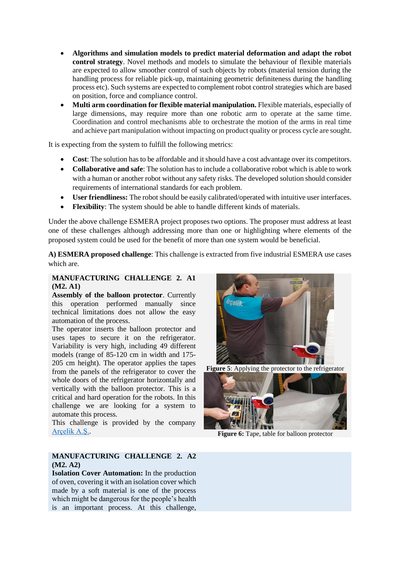- **Algorithms and simulation models to predict material deformation and adapt the robot control strategy**. Novel methods and models to simulate the behaviour of flexible materials are expected to allow smoother control of such objects by robots (material tension during the handling process for reliable pick-up, maintaining geometric definiteness during the handling process etc). Such systems are expected to complement robot control strategies which are based on position, force and compliance control.
- **Multi arm coordination for flexible material manipulation.** Flexible materials, especially of large dimensions, may require more than one robotic arm to operate at the same time. Coordination and control mechanisms able to orchestrate the motion of the arms in real time and achieve part manipulation without impacting on product quality or process cycle are sought.

It is expecting from the system to fulfill the following metrics:

- **Cost**: The solution has to be affordable and it should have a cost advantage over its competitors.
- **Collaborative and safe**: The solution has to include a collaborative robot which is able to work with a human or another robot without any safety risks. The developed solution should consider requirements of international standards for each problem.
- **User friendliness:** The robot should be easily calibrated/operated with intuitive user interfaces.
- **Flexibility**: The system should be able to handle different kinds of materials.

Under the above challenge ESMERA project proposes two options. The proposer must address at least one of these challenges although addressing more than one or highlighting where elements of the proposed system could be used for the benefit of more than one system would be beneficial.

**A) ESMERA proposed challenge**: This challenge is extracted from five industrial ESMERA use cases which are.

#### **MANUFACTURING CHALLENGE 2. A1 (M2. A1)**

**Assembly of the balloon protector**. Currently this operation performed manually since technical limitations does not allow the easy automation of the process.

The operator inserts the balloon protector and uses tapes to secure it on the refrigerator. Variability is very high, including 49 different models (range of 85-120 cm in width and 175- 205 cm height). The operator applies the tapes from the panels of the refrigerator to cover the whole doors of the refrigerator horizontally and vertically with the balloon protector. This is a critical and hard operation for the robots. In this challenge we are looking for a system to automate this process.

This challenge is provided by the company [Arçelik A.Ş..](http://www.arcelikas.com/)







**Figure 6:** Tape, table for balloon protector

#### **MANUFACTURING CHALLENGE 2. A2 (M2. A2)**

**Isolation Cover Automation:** In the production of oven, covering it with an isolation cover which made by a soft material is one of the process which might be dangerous for the people's health is an important process. At this challenge,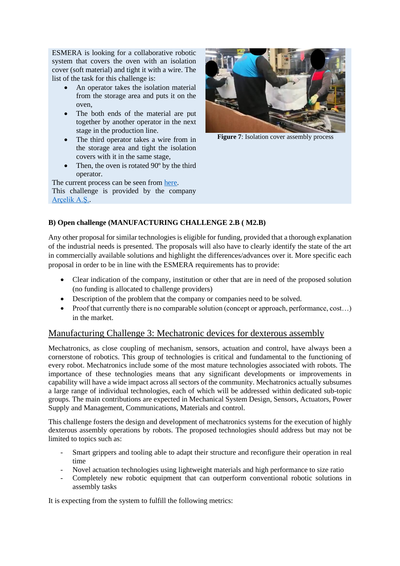ESMERA is looking for a collaborative robotic system that covers the oven with an isolation cover (soft material) and tight it with a wire. The list of the task for this challenge is:

- An operator takes the isolation material from the storage area and puts it on the oven,
- The both ends of the material are put together by another operator in the next stage in the production line.
- The third operator takes a wire from in the storage area and tight the isolation covers with it in the same stage,
- Then, the oven is rotated 90° by the third operator.

The current process can be seen from [here.](https://youtu.be/se4G6SuHm2I) This challenge is provided by the company [Arçelik A.Ş..](http://www.arcelikas.com/)



**Figure 7**: Isolation cover assembly process

### **B) Open challenge (MANUFACTURING CHALLENGE 2.B ( M2.B)**

Any other proposal for similar technologies is eligible for funding, provided that a thorough explanation of the industrial needs is presented. The proposals will also have to clearly identify the state of the art in commercially available solutions and highlight the differences/advances over it. More specific each proposal in order to be in line with the ESMERA requirements has to provide:

- Clear indication of the company, institution or other that are in need of the proposed solution (no funding is allocated to challenge providers)
- Description of the problem that the company or companies need to be solved.
- Proof that currently there is no comparable solution (concept or approach, performance, cost...) in the market.

# Manufacturing Challenge 3: Mechatronic devices for dexterous assembly

Mechatronics, as close coupling of mechanism, sensors, actuation and control, have always been a cornerstone of robotics. This group of technologies is critical and fundamental to the functioning of every robot. Mechatronics include some of the most mature technologies associated with robots. The importance of these technologies means that any significant developments or improvements in capability will have a wide impact across all sectors of the community. Mechatronics actually subsumes a large range of individual technologies, each of which will be addressed within dedicated sub-topic groups. The main contributions are expected in Mechanical System Design, Sensors, Actuators, Power Supply and Management, Communications, Materials and control.

This challenge fosters the design and development of mechatronics systems for the execution of highly dexterous assembly operations by robots. The proposed technologies should address but may not be limited to topics such as:

- Smart grippers and tooling able to adapt their structure and reconfigure their operation in real time
- Novel actuation technologies using lightweight materials and high performance to size ratio
- Completely new robotic equipment that can outperform conventional robotic solutions in assembly tasks

It is expecting from the system to fulfill the following metrics: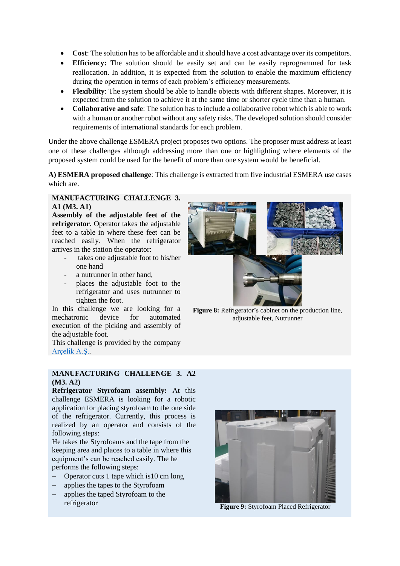- **Cost**: The solution has to be affordable and it should have a cost advantage over its competitors.
- **Efficiency:** The solution should be easily set and can be easily reprogrammed for task reallocation. In addition, it is expected from the solution to enable the maximum efficiency during the operation in terms of each problem's efficiency measurements.
- **Flexibility**: The system should be able to handle objects with different shapes. Moreover, it is expected from the solution to achieve it at the same time or shorter cycle time than a human.
- **Collaborative and safe**: The solution has to include a collaborative robot which is able to work with a human or another robot without any safety risks. The developed solution should consider requirements of international standards for each problem.

Under the above challenge ESMERA project proposes two options. The proposer must address at least one of these challenges although addressing more than one or highlighting where elements of the proposed system could be used for the benefit of more than one system would be beneficial.

**A) ESMERA proposed challenge**: This challenge is extracted from five industrial ESMERA use cases which are.

#### **MANUFACTURING CHALLENGE 3. A1 (M3. A1)**

**Assembly of the adjustable feet of the refrigerator.** Operator takes the adjustable feet to a table in where these feet can be reached easily. When the refrigerator arrives in the station the operator:

- takes one adjustable foot to his/her one hand
- a nutrunner in other hand.
- places the adjustable foot to the refrigerator and uses nutrunner to tighten the foot.

In this challenge we are looking for a mechatronic device for automated execution of the picking and assembly of the adjustable foot.

This challenge is provided by the company [Arçelik A.Ş..](http://www.arcelikas.com/)

#### **MANUFACTURING CHALLENGE 3. A2 (M3. A2)**

**Refrigerator Styrofoam assembly:** At this challenge ESMERA is looking for a robotic application for placing styrofoam to the one side of the refrigerator. Currently, this process is realized by an operator and consists of the following steps:

He takes the Styrofoams and the tape from the keeping area and places to a table in where this equipment's can be reached easily. The he performs the following steps:

- − Operator cuts 1 tape which is10 cm long
- − applies the tapes to the Styrofoam
- − applies the taped Styrofoam to the refrigerator **Figure 9:** Styrofoam Placed Refrigerator



**Figure 8:** Refrigerator's cabinet on the production line, adjustable feet, Nutrunner

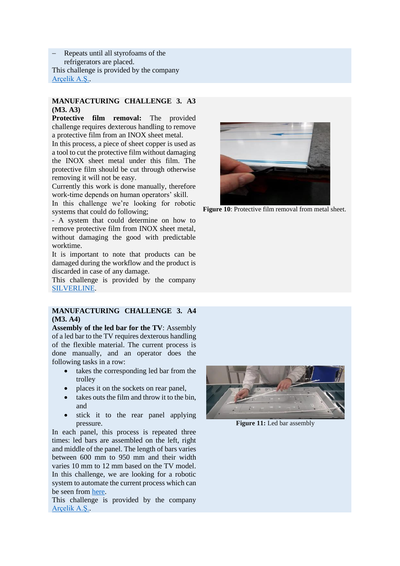− Repeats until all styrofoams of the refrigerators are placed. This challenge is provided by the company [Arçelik A.Ş..](http://www.arcelikas.com/)

#### **MANUFACTURING CHALLENGE 3. A3 (M3. A3)**

**Protective film removal:** The provided challenge requires dexterous handling to remove a protective film from an INOX sheet metal.

In this process, a piece of sheet copper is used as a tool to cut the protective film without damaging the INOX sheet metal under this film. The protective film should be cut through otherwise removing it will not be easy.

Currently this work is done manually, therefore work-time depends on human operators' skill.

In this challenge we're looking for robotic systems that could do following;

- A system that could determine on how to remove protective film from INOX sheet metal, without damaging the good with predictable worktime.

It is important to note that products can be damaged during the workflow and the product is discarded in case of any damage.

This challenge is provided by the company [SILVERLINE.](http://www.silverline.com/)

#### **MANUFACTURING CHALLENGE 3. A4 (M3. A4)**

**Assembly of the led bar for the TV**: Assembly of a led bar to the TV requires dexterous handling of the flexible material. The current process is done manually, and an operator does the following tasks in a row:

- takes the corresponding led bar from the trolley
- places it on the sockets on rear panel,
- takes outs the film and throw it to the bin. and
- stick it to the rear panel applying pressure.

In each panel, this process is repeated three times: led bars are assembled on the left, right and middle of the panel. The length of bars varies between 600 mm to 950 mm and their width varies 10 mm to 12 mm based on the TV model. In this challenge, we are looking for a robotic system to automate the current process which can be seen from [here.](https://youtu.be/avlxbj-h20I)

This challenge is provided by the company [Arçelik A.Ş..](http://www.arcelikas.com/)



Figure 10: Protective film removal from metal sheet.



**Figure 11:** Led bar assembly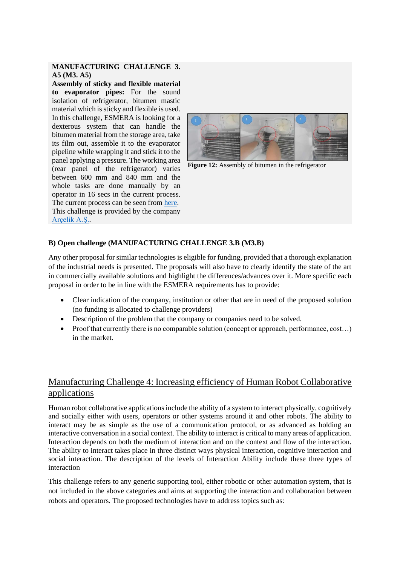#### **MANUFACTURING CHALLENGE 3. A5 (M3. A5)**

**Assembly of sticky and flexible material to evaporator pipes:** For the sound isolation of refrigerator, bitumen mastic material which is sticky and flexible is used. In this challenge, ESMERA is looking for a dexterous system that can handle the bitumen material from the storage area, take its film out, assemble it to the evaporator pipeline while wrapping it and stick it to the panel applying a pressure. The working area (rear panel of the refrigerator) varies between 600 mm and 840 mm and the whole tasks are done manually by an operator in 16 secs in the current process. The current process can be seen from [here.](https://youtu.be/fD5hwfI54LE) This challenge is provided by the company [Arçelik A.Ş..](http://www.arcelikas.com/)



**Figure 12:** Assembly of bitumen in the refrigerator

### **B) Open challenge (MANUFACTURING CHALLENGE 3.B (M3.B)**

Any other proposal for similar technologies is eligible for funding, provided that a thorough explanation of the industrial needs is presented. The proposals will also have to clearly identify the state of the art in commercially available solutions and highlight the differences/advances over it. More specific each proposal in order to be in line with the ESMERA requirements has to provide:

- Clear indication of the company, institution or other that are in need of the proposed solution (no funding is allocated to challenge providers)
- Description of the problem that the company or companies need to be solved.
- Proof that currently there is no comparable solution (concept or approach, performance, cost...) in the market.

# Manufacturing Challenge 4: Increasing efficiency of Human Robot Collaborative applications

Human robot collaborative applications include the ability of a system to interact physically, cognitively and socially either with users, operators or other systems around it and other robots. The ability to interact may be as simple as the use of a communication protocol, or as advanced as holding an interactive conversation in a social context. The ability to interact is critical to many areas of application. Interaction depends on both the medium of interaction and on the context and flow of the interaction. The ability to interact takes place in three distinct ways physical interaction, cognitive interaction and social interaction. The description of the levels of Interaction Ability include these three types of interaction

This challenge refers to any generic supporting tool, either robotic or other automation system, that is not included in the above categories and aims at supporting the interaction and collaboration between robots and operators. The proposed technologies have to address topics such as: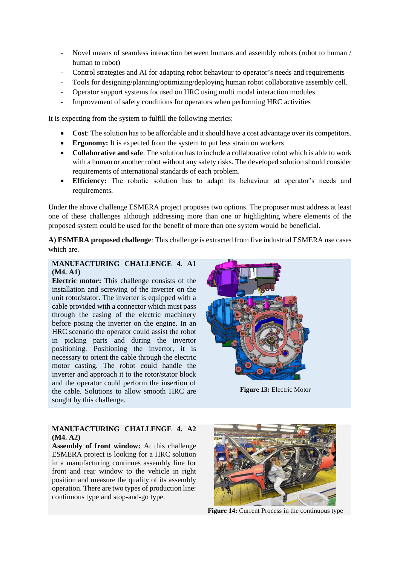- Novel means of seamless interaction between humans and assembly robots (robot to human / human to robot)
- Control strategies and AI for adapting robot behaviour to operator's needs and requirements
- Tools for designing/planning/optimizing/deploying human robot collaborative assembly cell.
- Operator support systems focused on HRC using multi modal interaction modules
- Improvement of safety conditions for operators when performing HRC activities

It is expecting from the system to fulfill the following metrics:

- **Cost:** The solution has to be affordable and it should have a cost advantage over its competitors.
- **Ergonomy:** It is expected from the system to put less strain on workers
- **Collaborative and safe**: The solution has to include a collaborative robot which is able to work with a human or another robot without any safety risks. The developed solution should consider requirements of international standards of each problem.
- **Efficiency:** The robotic solution has to adapt its behaviour at operator's needs and requirements.

Under the above challenge ESMERA project proposes two options. The proposer must address at least one of these challenges although addressing more than one or highlighting where elements of the proposed system could be used for the benefit of more than one system would be beneficial.

**A) ESMERA proposed challenge**: This challenge is extracted from five industrial ESMERA use cases which are.

#### **MANUFACTURING CHALLENGE 4. A1 (M4. A1)**

**Electric motor:** This challenge consists of the installation and screwing of the inverter on the unit rotor/stator. The inverter is equipped with a cable provided with a connector which must pass through the casing of the electric machinery before posing the inverter on the engine. In an HRC scenario the operator could assist the robot in picking parts and during the invertor positioning. Positioning the invertor, it is necessary to orient the cable through the electric motor casting. The robot could handle the inverter and approach it to the rotor/stator block and the operator could perform the insertion of the cable. Solutions to allow smooth HRC are sought by this challenge.



**Figure 13:** Electric Motor

#### **MANUFACTURING CHALLENGE 4. A2 (M4. A2)**

**Assembly of front window:** At this challenge ESMERA project is looking for a HRC solution in a manufacturing continues assembly line for front and rear window to the vehicle in right position and measure the quality of its assembly operation. There are two types of production line: continuous type and stop-and-go type.



**Figure 14:** Current Process in the continuous type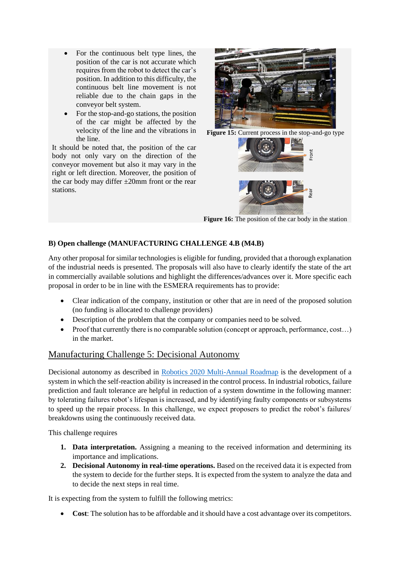- For the continuous belt type lines, the position of the car is not accurate which requires from the robot to detect the car's position. In addition to this difficulty, the continuous belt line movement is not reliable due to the chain gaps in the conveyor belt system.
- For the stop-and-go stations, the position of the car might be affected by the velocity of the line and the vibrations in the line.

It should be noted that, the position of the car body not only vary on the direction of the conveyor movement but also it may vary in the right or left direction. Moreover, the position of the car body may differ  $\pm 20$ mm front or the rear stations.



**Figure 15:** Current process in the stop-and-go type



**Figure 16:** The position of the car body in the station

## **B) Open challenge (MANUFACTURING CHALLENGE 4.B (M4.B)**

Any other proposal for similar technologies is eligible for funding, provided that a thorough explanation of the industrial needs is presented. The proposals will also have to clearly identify the state of the art in commercially available solutions and highlight the differences/advances over it. More specific each proposal in order to be in line with the ESMERA requirements has to provide:

- Clear indication of the company, institution or other that are in need of the proposed solution (no funding is allocated to challenge providers)
- Description of the problem that the company or companies need to be solved.
- Proof that currently there is no comparable solution (concept or approach, performance, cost...) in the market.

# Manufacturing Challenge 5: Decisional Autonomy

Decisional autonomy as described in [Robotics 2020 Multi-Annual Roadmap](https://www.eu-robotics.net/cms/upload/topic_groups/H2020_Robotics_Multi-Annual_Roadmap_ICT-2017B.pdf) is the development of a system in which the self-reaction ability is increased in the control process. In industrial robotics, failure prediction and fault tolerance are helpful in reduction of a system downtime in the following manner: by tolerating failures robot's lifespan is increased, and by identifying faulty components or subsystems to speed up the repair process. In this challenge, we expect proposers to predict the robot's failures/ breakdowns using the continuously received data.

This challenge requires

- **1. Data interpretation.** Assigning a meaning to the received information and determining its importance and implications.
- **2. Decisional Autonomy in real-time operations.** Based on the received data it is expected from the system to decide for the further steps. It is expected from the system to analyze the data and to decide the next steps in real time.

It is expecting from the system to fulfill the following metrics:

• **Cost**: The solution has to be affordable and it should have a cost advantage over its competitors.